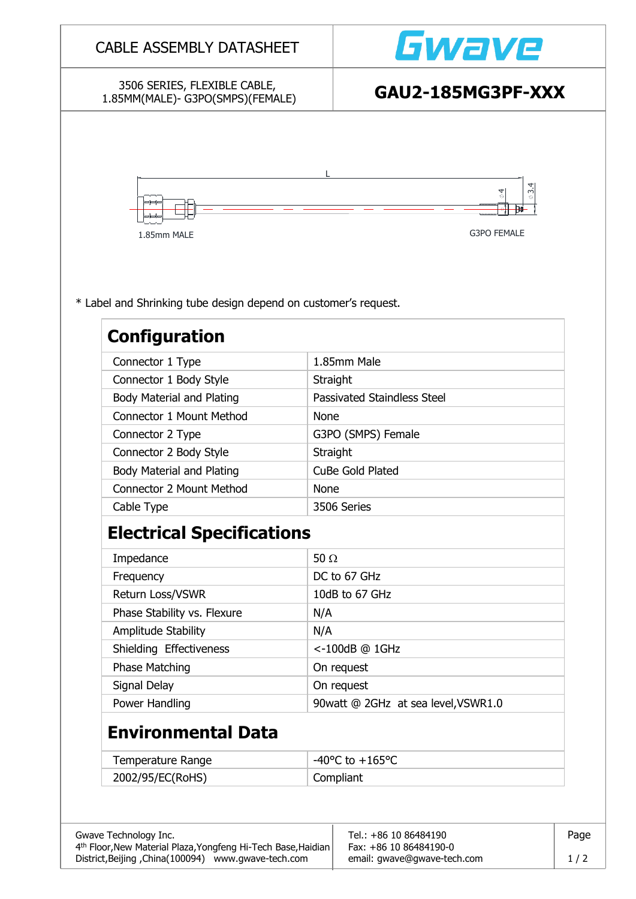|                                                                                         | <b>CABLE ASSEMBLY DATASHEET</b> | Gwave                                   |  |  |
|-----------------------------------------------------------------------------------------|---------------------------------|-----------------------------------------|--|--|
| 3506 SERIES, FLEXIBLE CABLE,<br>1.85MM(MALE)- G3PO(SMPS)(FEMALE)                        |                                 | GAU2-185MG3PF-XXX                       |  |  |
| 1.85mm MALE                                                                             |                                 | $\varphi$ 3.<br>ø<br><b>G3PO FEMALE</b> |  |  |
| * Label and Shrinking tube design depend on customer's request.<br><b>Configuration</b> |                                 |                                         |  |  |
| Connector 1 Type                                                                        |                                 | 1.85mm Male                             |  |  |
| Connector 1 Body Style                                                                  | Straight                        |                                         |  |  |
| <b>Body Material and Plating</b>                                                        |                                 | Passivated Staindless Steel             |  |  |
| <b>Connector 1 Mount Method</b>                                                         | None                            |                                         |  |  |
| Connector 2 Type                                                                        |                                 | G3PO (SMPS) Female                      |  |  |
| Connector 2 Body Style                                                                  | Straight                        |                                         |  |  |
| <b>Body Material and Plating</b>                                                        |                                 | CuBe Gold Plated                        |  |  |
| <b>Connector 2 Mount Method</b>                                                         | <b>None</b>                     |                                         |  |  |
| Cable Type                                                                              |                                 | 3506 Series                             |  |  |
| <b>Electrical Specifications</b>                                                        |                                 |                                         |  |  |
|                                                                                         | 50 $\Omega$                     |                                         |  |  |
|                                                                                         |                                 |                                         |  |  |
| Impedance<br>Frequency                                                                  |                                 | DC to 67 GHz                            |  |  |
| Return Loss/VSWR                                                                        |                                 | 10dB to 67 GHz                          |  |  |
| Phase Stability vs. Flexure                                                             | N/A                             |                                         |  |  |
| Amplitude Stability                                                                     | N/A                             |                                         |  |  |
| Shielding Effectiveness                                                                 |                                 | <-100dB @ 1GHz                          |  |  |
| <b>Phase Matching</b>                                                                   |                                 | On request                              |  |  |
| Signal Delay                                                                            |                                 | On request                              |  |  |
| Power Handling                                                                          |                                 | 90watt @ 2GHz at sea level, VSWR1.0     |  |  |
| <b>Environmental Data</b>                                                               |                                 |                                         |  |  |
| <b>Temperature Range</b>                                                                |                                 | -40 $^{\circ}$ C to +165 $^{\circ}$ C   |  |  |

District,Beijing ,China(100094) www.gwave-tech.com email: gwave@gwave-tech.com 1 / 2